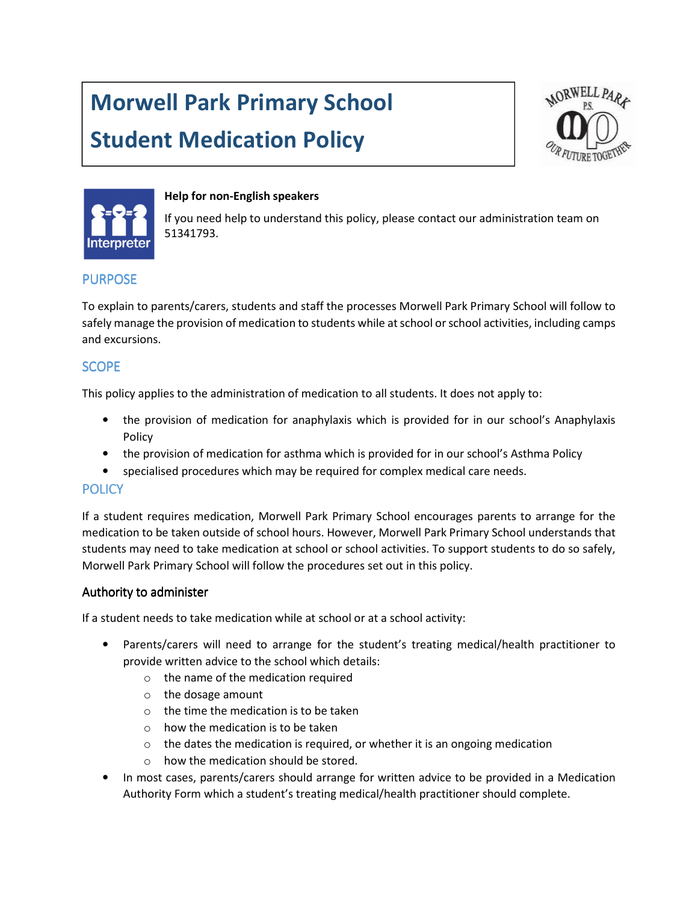# Morwell Park Primary School

# Student Medication Policy





#### Help for non-English speakers

If you need help to understand this policy, please contact our administration team on 51341793.

### PURPOSE

To explain to parents/carers, students and staff the processes Morwell Park Primary School will follow to safely manage the provision of medication to students while at school or school activities, including camps and excursions.

## **SCOPE**

This policy applies to the administration of medication to all students. It does not apply to:

- the provision of medication for anaphylaxis which is provided for in our school's Anaphylaxis Policy
- the provision of medication for asthma which is provided for in our school's Asthma Policy
- specialised procedures which may be required for complex medical care needs.

#### **POLICY**

If a student requires medication, Morwell Park Primary School encourages parents to arrange for the medication to be taken outside of school hours. However, Morwell Park Primary School understands that students may need to take medication at school or school activities. To support students to do so safely, Morwell Park Primary School will follow the procedures set out in this policy.

#### Authority to administer

If a student needs to take medication while at school or at a school activity:

- Parents/carers will need to arrange for the student's treating medical/health practitioner to provide written advice to the school which details:
	- o the name of the medication required
	- o the dosage amount
	- $\circ$  the time the medication is to be taken
	- $\circ$  how the medication is to be taken
	- $\circ$  the dates the medication is required, or whether it is an ongoing medication
	- o how the medication should be stored.
- In most cases, parents/carers should arrange for written advice to be provided in a Medication Authority Form which a student's treating medical/health practitioner should complete.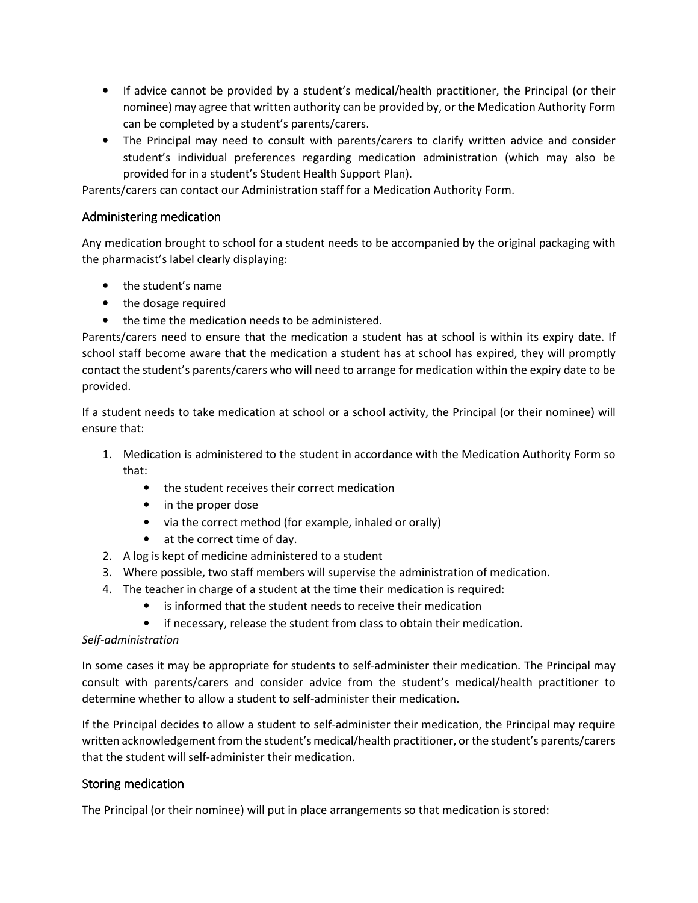- If advice cannot be provided by a student's medical/health practitioner, the Principal (or their nominee) may agree that written authority can be provided by, or the Medication Authority Form can be completed by a student's parents/carers.
- The Principal may need to consult with parents/carers to clarify written advice and consider student's individual preferences regarding medication administration (which may also be provided for in a student's Student Health Support Plan).

Parents/carers can contact our Administration staff for a Medication Authority Form.

### Administering medication

Any medication brought to school for a student needs to be accompanied by the original packaging with the pharmacist's label clearly displaying:

- the student's name
- the dosage required
- the time the medication needs to be administered.

Parents/carers need to ensure that the medication a student has at school is within its expiry date. If school staff become aware that the medication a student has at school has expired, they will promptly contact the student's parents/carers who will need to arrange for medication within the expiry date to be provided.

If a student needs to take medication at school or a school activity, the Principal (or their nominee) will ensure that:

- 1. Medication is administered to the student in accordance with the Medication Authority Form so that:
	- the student receives their correct medication
	- in the proper dose
	- via the correct method (for example, inhaled or orally)
	- at the correct time of day.
- 2. A log is kept of medicine administered to a student
- 3. Where possible, two staff members will supervise the administration of medication.
- 4. The teacher in charge of a student at the time their medication is required:
	- is informed that the student needs to receive their medication
	- if necessary, release the student from class to obtain their medication.

#### Self-administration

In some cases it may be appropriate for students to self-administer their medication. The Principal may consult with parents/carers and consider advice from the student's medical/health practitioner to determine whether to allow a student to self-administer their medication.

If the Principal decides to allow a student to self-administer their medication, the Principal may require written acknowledgement from the student's medical/health practitioner, or the student's parents/carers that the student will self-administer their medication.

#### Storing medication

The Principal (or their nominee) will put in place arrangements so that medication is stored: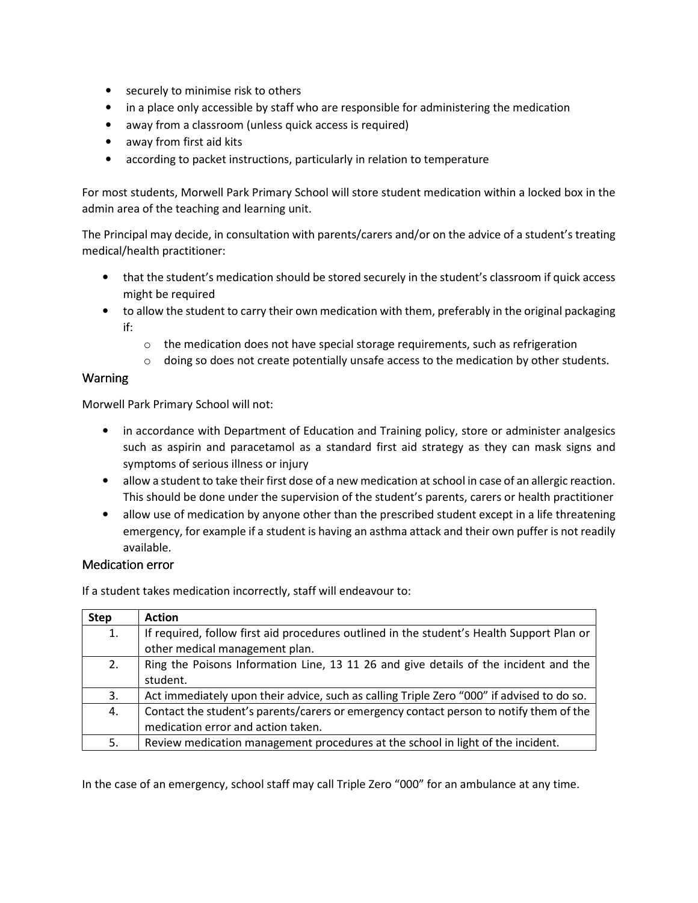- securely to minimise risk to others
- in a place only accessible by staff who are responsible for administering the medication
- away from a classroom (unless quick access is required)
- away from first aid kits
- according to packet instructions, particularly in relation to temperature

For most students, Morwell Park Primary School will store student medication within a locked box in the admin area of the teaching and learning unit.

The Principal may decide, in consultation with parents/carers and/or on the advice of a student's treating medical/health practitioner:

- that the student's medication should be stored securely in the student's classroom if quick access might be required
- to allow the student to carry their own medication with them, preferably in the original packaging if:
	- $\circ$  the medication does not have special storage requirements, such as refrigeration
	- o doing so does not create potentially unsafe access to the medication by other students.

#### Warning

Morwell Park Primary School will not:

- in accordance with Department of Education and Training policy, store or administer analgesics such as aspirin and paracetamol as a standard first aid strategy as they can mask signs and symptoms of serious illness or injury
- allow a student to take their first dose of a new medication at school in case of an allergic reaction. This should be done under the supervision of the student's parents, carers or health practitioner
- allow use of medication by anyone other than the prescribed student except in a life threatening emergency, for example if a student is having an asthma attack and their own puffer is not readily available.

#### Medication error

If a student takes medication incorrectly, staff will endeavour to:

| <b>Step</b> | <b>Action</b>                                                                             |
|-------------|-------------------------------------------------------------------------------------------|
| 1.          | If required, follow first aid procedures outlined in the student's Health Support Plan or |
|             | other medical management plan.                                                            |
| 2.          | Ring the Poisons Information Line, 13 11 26 and give details of the incident and the      |
|             | student.                                                                                  |
| 3.          | Act immediately upon their advice, such as calling Triple Zero "000" if advised to do so. |
| 4.          | Contact the student's parents/carers or emergency contact person to notify them of the    |
|             | medication error and action taken.                                                        |
| 5.          | Review medication management procedures at the school in light of the incident.           |

In the case of an emergency, school staff may call Triple Zero "000" for an ambulance at any time.